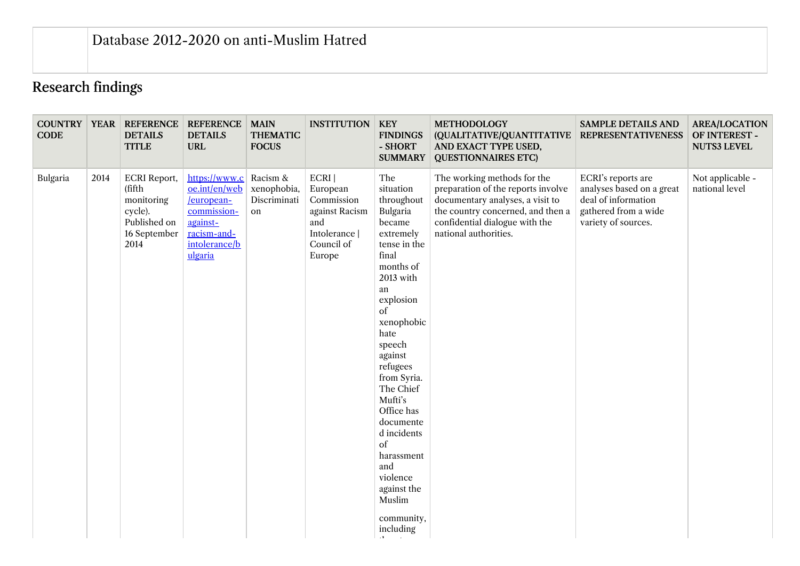## Research findings

| <b>COUNTRY   YEAR  </b><br><b>CODE</b> |      | <b>REFERENCE</b><br><b>DETAILS</b><br><b>TITLE</b>                                             | <b>REFERENCE</b><br><b>DETAILS</b><br><b>URL</b>                                                                   | <b>MAIN</b><br><b>THEMATIC</b><br><b>FOCUS</b> | <b>INSTITUTION</b>                                                                                 | <b>KEY</b><br><b>FINDINGS</b><br>- SHORT<br><b>SUMMARY</b>                                                                                                                                                                                                                                                                                                                       | <b>METHODOLOGY</b><br>(QUALITATIVE/QUANTITATIVE<br>AND EXACT TYPE USED,<br><b>QUESTIONNAIRES ETC)</b>                                                                                                 | <b>SAMPLE DETAILS AND</b><br><b>REPRESENTATIVENESS</b>                                                                | <b>AREA/LOCATION</b><br>OF INTEREST -<br><b>NUTS3 LEVEL</b> |
|----------------------------------------|------|------------------------------------------------------------------------------------------------|--------------------------------------------------------------------------------------------------------------------|------------------------------------------------|----------------------------------------------------------------------------------------------------|----------------------------------------------------------------------------------------------------------------------------------------------------------------------------------------------------------------------------------------------------------------------------------------------------------------------------------------------------------------------------------|-------------------------------------------------------------------------------------------------------------------------------------------------------------------------------------------------------|-----------------------------------------------------------------------------------------------------------------------|-------------------------------------------------------------|
| Bulgaria                               | 2014 | <b>ECRI</b> Report,<br>(fifth<br>monitoring<br>cycle).<br>Published on<br>16 September<br>2014 | https://www.c<br>oe.int/en/web<br>/european-<br>commission-<br>against-<br>racism-and-<br>intolerance/b<br>ulgaria | Racism &<br>xenophobia,<br>Discriminati<br>on  | ECRI  <br>European<br>Commission<br>against Racism<br>and<br>Intolerance  <br>Council of<br>Europe | The<br>situation<br>throughout<br>Bulgaria<br>became<br>extremely<br>tense in the<br>final<br>months of<br>2013 with<br>an<br>explosion<br>of<br>xenophobic<br>hate<br>speech<br>against<br>refugees<br>from Syria.<br>The Chief<br>Mufti's<br>Office has<br>documente<br>d incidents<br>of<br>harassment<br>and<br>violence<br>against the<br>Muslim<br>community,<br>including | The working methods for the<br>preparation of the reports involve<br>documentary analyses, a visit to<br>the country concerned, and then a<br>confidential dialogue with the<br>national authorities. | ECRI's reports are<br>analyses based on a great<br>deal of information<br>gathered from a wide<br>variety of sources. | Not applicable -<br>national level                          |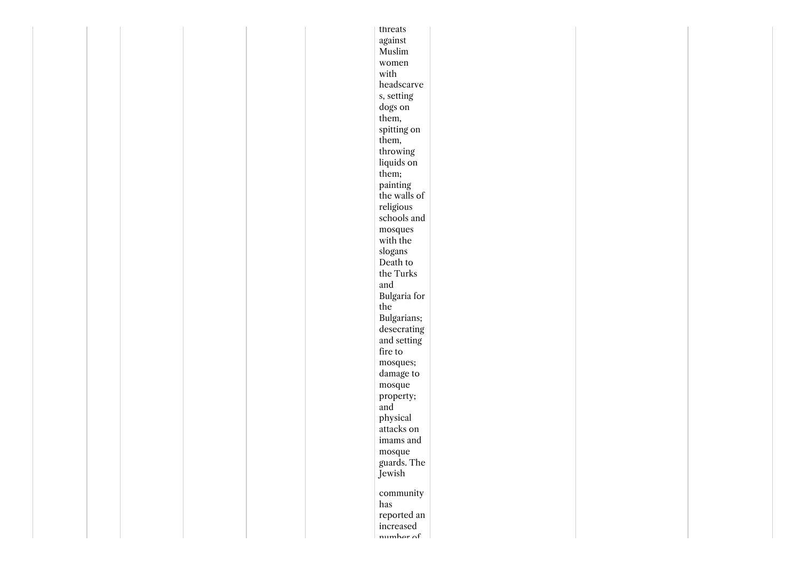|  |  | threats                         |  |  |
|--|--|---------------------------------|--|--|
|  |  | $\!$ against                    |  |  |
|  |  | $\mathbf{M}$ uslim              |  |  |
|  |  | women                           |  |  |
|  |  | with                            |  |  |
|  |  | headscarve                      |  |  |
|  |  | s, setting                      |  |  |
|  |  | dogs on                         |  |  |
|  |  | them,                           |  |  |
|  |  | spitting on                     |  |  |
|  |  | them,                           |  |  |
|  |  | throwing                        |  |  |
|  |  |                                 |  |  |
|  |  | liquids on                      |  |  |
|  |  | them;                           |  |  |
|  |  | painting                        |  |  |
|  |  | the walls of                    |  |  |
|  |  | religious                       |  |  |
|  |  | schools and                     |  |  |
|  |  | $_{\rm{mosques}}$               |  |  |
|  |  | with the                        |  |  |
|  |  | slogans                         |  |  |
|  |  | Death to                        |  |  |
|  |  | the Turks                       |  |  |
|  |  | and                             |  |  |
|  |  | Bulgaria for                    |  |  |
|  |  | $_{\rm the}$                    |  |  |
|  |  | Bulgarians;                     |  |  |
|  |  | $\operatorname{descrating}$     |  |  |
|  |  | and setting                     |  |  |
|  |  | fire to                         |  |  |
|  |  | mosques;                        |  |  |
|  |  | damage to                       |  |  |
|  |  | $_{\rm mospae}$                 |  |  |
|  |  | property;                       |  |  |
|  |  | and                             |  |  |
|  |  | physical                        |  |  |
|  |  | attacks on                      |  |  |
|  |  | imams and                       |  |  |
|  |  |                                 |  |  |
|  |  |                                 |  |  |
|  |  | mosque<br>guards. The<br>Jewish |  |  |
|  |  |                                 |  |  |
|  |  | community                       |  |  |
|  |  |                                 |  |  |
|  |  | has                             |  |  |
|  |  | reported an                     |  |  |
|  |  | increased<br>number of          |  |  |
|  |  |                                 |  |  |